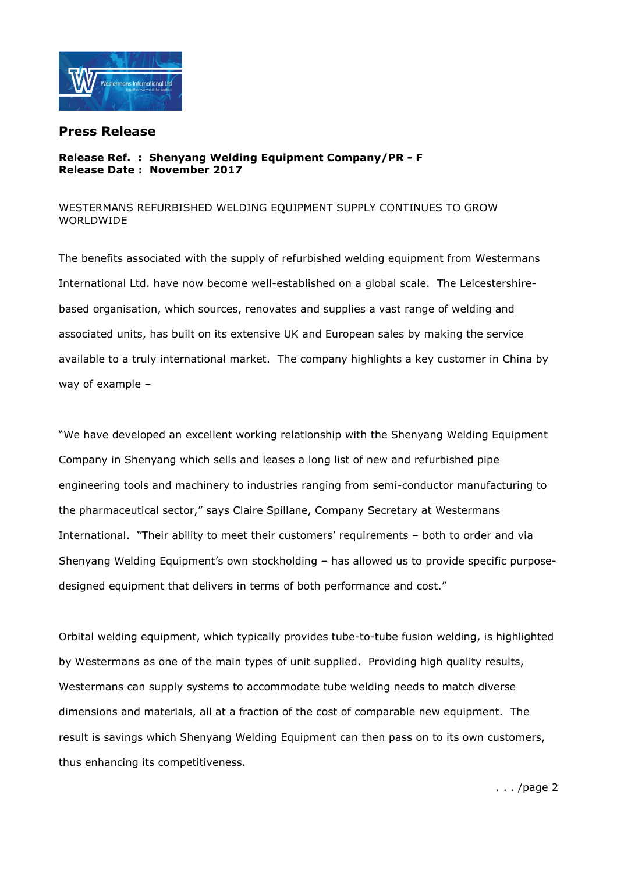

## Press Release

## Release Ref. : Shenyang Welding Equipment Company/PR - F Release Date : November 2017

## WESTERMANS REFURBISHED WELDING EQUIPMENT SUPPLY CONTINUES TO GROW WORLDWIDE

The benefits associated with the supply of refurbished welding equipment from Westermans International Ltd. have now become well-established on a global scale. The Leicestershirebased organisation, which sources, renovates and supplies a vast range of welding and associated units, has built on its extensive UK and European sales by making the service available to a truly international market. The company highlights a key customer in China by way of example –

"We have developed an excellent working relationship with the Shenyang Welding Equipment Company in Shenyang which sells and leases a long list of new and refurbished pipe engineering tools and machinery to industries ranging from semi-conductor manufacturing to the pharmaceutical sector," says Claire Spillane, Company Secretary at Westermans International. "Their ability to meet their customers' requirements – both to order and via Shenyang Welding Equipment's own stockholding – has allowed us to provide specific purposedesigned equipment that delivers in terms of both performance and cost."

Orbital welding equipment, which typically provides tube-to-tube fusion welding, is highlighted by Westermans as one of the main types of unit supplied. Providing high quality results, Westermans can supply systems to accommodate tube welding needs to match diverse dimensions and materials, all at a fraction of the cost of comparable new equipment. The result is savings which Shenyang Welding Equipment can then pass on to its own customers, thus enhancing its competitiveness.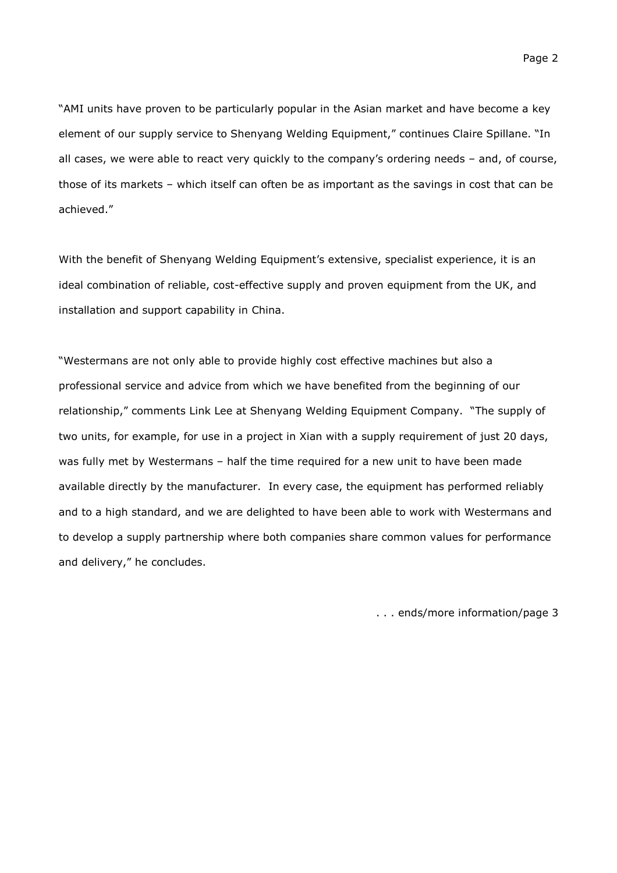"AMI units have proven to be particularly popular in the Asian market and have become a key element of our supply service to Shenyang Welding Equipment," continues Claire Spillane. "In all cases, we were able to react very quickly to the company's ordering needs – and, of course, those of its markets – which itself can often be as important as the savings in cost that can be achieved."

With the benefit of Shenyang Welding Equipment's extensive, specialist experience, it is an ideal combination of reliable, cost-effective supply and proven equipment from the UK, and installation and support capability in China.

"Westermans are not only able to provide highly cost effective machines but also a professional service and advice from which we have benefited from the beginning of our relationship," comments Link Lee at Shenyang Welding Equipment Company. "The supply of two units, for example, for use in a project in Xian with a supply requirement of just 20 days, was fully met by Westermans – half the time required for a new unit to have been made available directly by the manufacturer. In every case, the equipment has performed reliably and to a high standard, and we are delighted to have been able to work with Westermans and to develop a supply partnership where both companies share common values for performance and delivery," he concludes.

. . . ends/more information/page 3